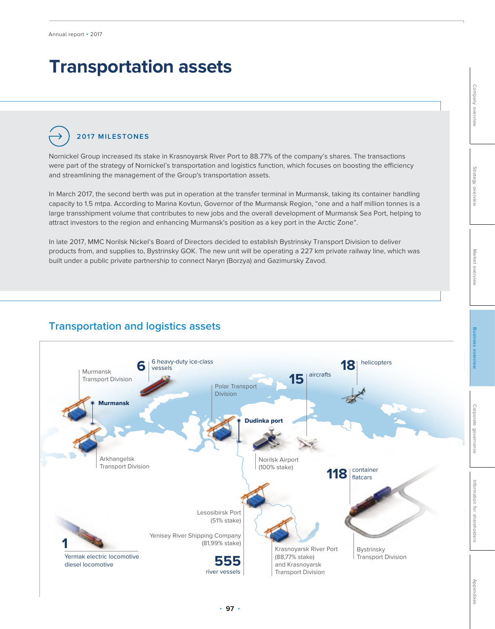# **Transportation assets**

**2017 MILESTONES**

Nornickel Group increased its stake in Krasnoyarsk River Port to 88.77% of the company's shares. The transactions were part of the strategy of Nornickel's transportation and logistics function, which focuses on boosting the efficiency and streamlining the management of the Group's transportation assets.

In March 2017, the second berth was put in operation at the transfer terminal in Murmansk, taking its container handling capacity to 1.5 mtpa. According to Marina Kovtun, Governor of the Murmansk Region, "one and a half million tonnes is a large transshipment volume that contributes to new jobs and the overall development of Murmansk Sea Port, helping to attract investors to the region and enhancing Murmansk's position as a key port in the Arctic Zone".

In late 2017, MMC Norilsk Nickel's Board of Directors decided to establish Bystrinsky Transport Division to deliver products from, and supplies to, Bystrinsky GOK. The new unit will be operating a 227 km private railway line, which was built under a public private partnership to connect Naryn (Borzya) and Gazimursky Zavod.

## **Transportation and logistics assets**

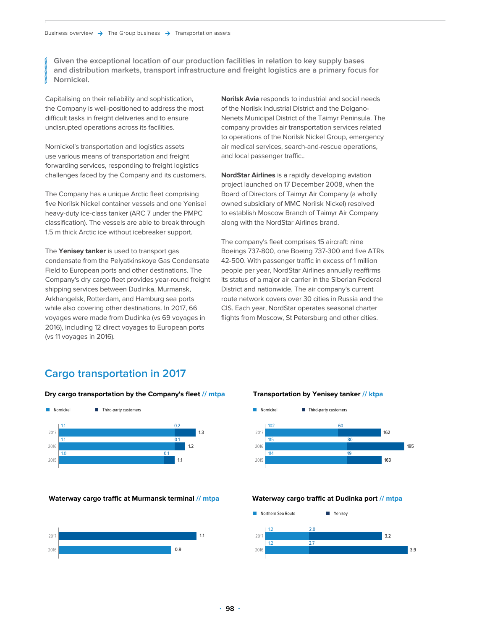**Given the exceptional location of our production facilities in relation to key supply bases and distribution markets, transport infrastructure and freight logistics are a primary focus for Nornickel.** 

Capitalising on their reliability and sophistication, the Company is well-positioned to address the most difficult tasks in freight deliveries and to ensure undisrupted operations across its facilities.

Nornickel's transportation and logistics assets use various means of transportation and freight forwarding services, responding to freight logistics challenges faced by the Company and its customers.

The Company has a unique Arctic fleet comprising five Norilsk Nickel container vessels and one Yenisei heavy-duty ice-class tanker (ARC 7 under the PMPC classification). The vessels are able to break through 1.5 m thick Arctic ice without icebreaker support.

The **Yenisey tanker** is used to transport gas condensate from the Pelyatkinskoye Gas Condensate Field to European ports and other destinations. The Company's dry cargo fleet provides year-round freight shipping services between Dudinka, Murmansk, Arkhangelsk, Rotterdam, and Hamburg sea ports while also covering other destinations. In 2017, 66 voyages were made from Dudinka (vs 69 voyages in 2016), including 12 direct voyages to European ports (vs 11 voyages in 2016).

**Norilsk Avia** responds to industrial and social needs of the Norilsk Industrial District and the Dolgano-Nenets Municipal District of the Taimyr Peninsula. The company provides air transportation services related to operations of the Norilsk Nickel Group, emergency air medical services, search-and-rescue operations, and local passenger traffic..

**NordStar Airlines** is a rapidly developing aviation project launched on 17 December 2008, when the Board of Directors of Taimyr Air Company (a wholly owned subsidiary of MMC Norilsk Nickel) resolved to establish Moscow Branch of Taimyr Air Company along with the NordStar Airlines brand.

The company's fleet comprises 15 aircraft: nine Boeings 737-800, one Boeing 737-300 and five ATRs 42-500. With passenger traffic in excess of 1 million people per year, NordStar Airlines annually reaffirms its status of a major air carrier in the Siberian Federal District and nationwide. The air company's current route network covers over 30 cities in Russia and the CIS. Each year, NordStar operates seasonal charter flights from Moscow, St Petersburg and other cities.

## **Cargo transportation in 2017**

#### **Dry cargo transportation by the Company's fleet // mtpa**



#### **Waterway cargo traffic at Murmansk terminal // mtpa**



#### **Transportation by Yenisey tanker // ktpa**



#### **Waterway cargo traffic at Dudinka port // mtpa**

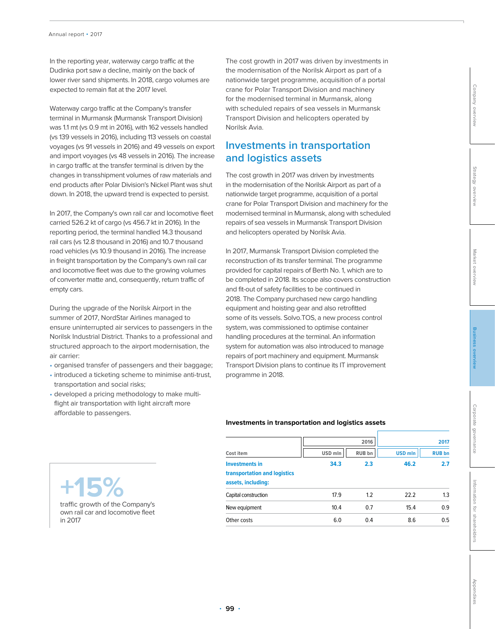In the reporting year, waterway cargo traffic at the Dudinka port saw a decline, mainly on the back of lower river sand shipments. In 2018, cargo volumes are expected to remain flat at the 2017 level.

Waterway cargo traffic at the Company's transfer terminal in Murmansk (Murmansk Transport Division) was 1.1 mt (vs 0.9 mt in 2016), with 162 vessels handled (vs 139 vessels in 2016), including 113 vessels on coastal voyages (vs 91 vessels in 2016) and 49 vessels on export and import voyages (vs 48 vessels in 2016). The increase in cargo traffic at the transfer terminal is driven by the changes in transshipment volumes of raw materials and end products after Polar Division's Nickel Plant was shut down. In 2018, the upward trend is expected to persist.

In 2017, the Company's own rail car and locomotive fleet carried 526.2 kt of cargo (vs 456.7 kt in 2016). In the reporting period, the terminal handled 14.3 thousand rail cars (vs 12.8 thousand in 2016) and 10.7 thousand road vehicles (vs 10.9 thousand in 2016). The increase in freight transportation by the Company's own rail car and locomotive fleet was due to the growing volumes of converter matte and, consequently, return traffic of empty cars.

During the upgrade of the Norilsk Airport in the summer of 2017, NordStar Airlines managed to ensure uninterrupted air services to passengers in the Norilsk Industrial District. Thanks to a professional and structured approach to the airport modernisation, the air carrier:

- organised transfer of passengers and their baggage;
- introduced a ticketing scheme to minimise anti-trust, transportation and social risks;
- developed a pricing methodology to make multiflight air transportation with light aircraft more affordable to passengers.

**+15%**

in 2017

traffic growth of the Company's own rail car and locomotive fleet

The cost growth in 2017 was driven by investments in the modernisation of the Norilsk Airport as part of a nationwide target programme, acquisition of a portal crane for Polar Transport Division and machinery for the modernised terminal in Murmansk, along with scheduled repairs of sea vessels in Murmansk Transport Division and helicopters operated by Norilsk Avia.

## **Investments in transportation and logistics assets**

The cost growth in 2017 was driven by investments in the modernisation of the Norilsk Airport as part of a nationwide target programme, acquisition of a portal crane for Polar Transport Division and machinery for the modernised terminal in Murmansk, along with scheduled repairs of sea vessels in Murmansk Transport Division and helicopters operated by Norilsk Avia.

In 2017, Murmansk Transport Division completed the reconstruction of its transfer terminal. The programme provided for capital repairs of Berth No. 1, which are to be completed in 2018. Its scope also covers construction and fit-out of safety facilities to be continued in 2018. The Company purchased new cargo handling equipment and hoisting gear and also retrofitted some of its vessels. Solvo.TOS, a new process control system, was commissioned to optimise container handling procedures at the terminal. An information system for automation was also introduced to manage repairs of port machinery and equipment. Murmansk Transport Division plans to continue its IT improvement programme in 2018.

### **Investments in transportation and logistics assets**

| Cost item                                                                   | 2016    |        | 2017           |               |
|-----------------------------------------------------------------------------|---------|--------|----------------|---------------|
|                                                                             | USD mln | RUB bn | <b>USD mln</b> | <b>RUB bn</b> |
| <b>Investments in</b><br>transportation and logistics<br>assets, including: | 34.3    | 2.3    | 46.2           | 2.7           |
| Capital construction                                                        | 17.9    | 1.2    | 22.2           | 1.3           |
| New equipment                                                               | 10.4    | 0.7    | 15.4           | 0.9           |
| Other costs                                                                 | 6.0     | 0.4    | 8.6            | 0.5           |
|                                                                             |         |        |                |               |